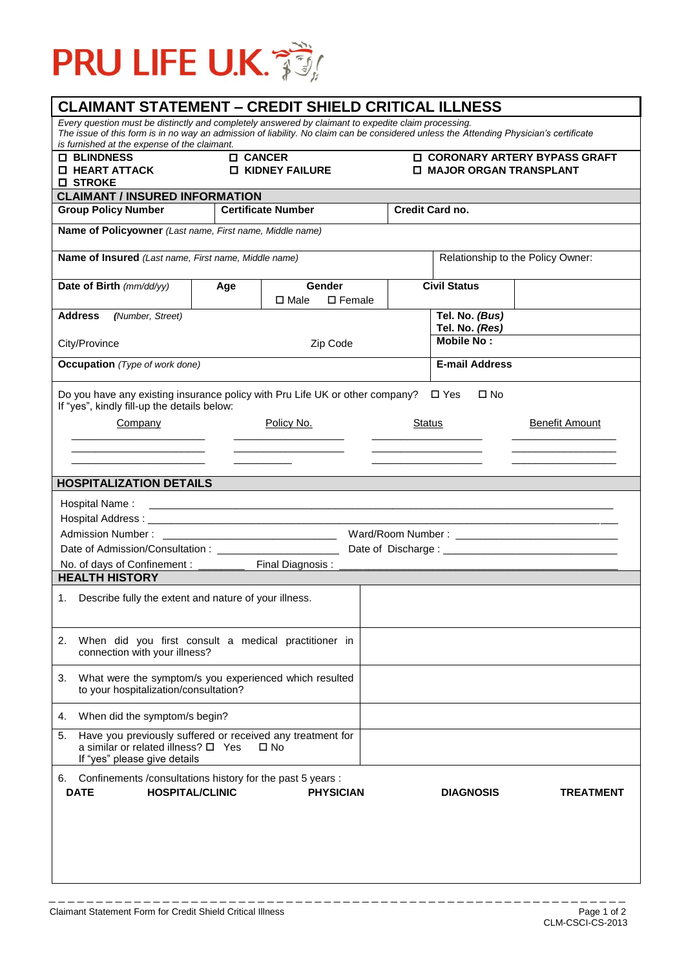

| <b>O</b> BLINDNESS<br><b>O HEART ATTACK</b>                                                                                             | <b>D</b> CANCER<br><b>LI KIDNEY FAILURE</b> |                                    | <b>ID CORONARY ARTERY BYPASS GRAFT</b><br><b>I MAJOR ORGAN TRANSPLANT</b> |                                     |                       |  |
|-----------------------------------------------------------------------------------------------------------------------------------------|---------------------------------------------|------------------------------------|---------------------------------------------------------------------------|-------------------------------------|-----------------------|--|
| <b>O STROKE</b>                                                                                                                         |                                             |                                    |                                                                           |                                     |                       |  |
| <b>CLAIMANT / INSURED INFORMATION</b><br><b>Group Policy Number</b><br><b>Certificate Number</b>                                        |                                             |                                    | <b>Credit Card no.</b>                                                    |                                     |                       |  |
| Name of Policyowner (Last name, First name, Middle name)                                                                                |                                             |                                    |                                                                           |                                     |                       |  |
|                                                                                                                                         |                                             |                                    |                                                                           |                                     |                       |  |
| Name of Insured (Last name, First name, Middle name)                                                                                    |                                             | Relationship to the Policy Owner:  |                                                                           |                                     |                       |  |
| Date of Birth (mm/dd/yy)                                                                                                                | Age                                         | Gender                             |                                                                           | <b>Civil Status</b>                 |                       |  |
|                                                                                                                                         |                                             | $\square$ Female<br>$\square$ Male |                                                                           |                                     |                       |  |
| <b>Address</b><br>(Number, Street)                                                                                                      |                                             |                                    |                                                                           | Tel. No. (Bus)                      |                       |  |
| City/Province                                                                                                                           |                                             | Zip Code                           |                                                                           | Tel. No. (Res)<br><b>Mobile No:</b> |                       |  |
|                                                                                                                                         |                                             |                                    |                                                                           |                                     |                       |  |
| <b>Occupation</b> (Type of work done)                                                                                                   |                                             |                                    |                                                                           | <b>E-mail Address</b>               |                       |  |
| If "yes", kindly fill-up the details below:                                                                                             |                                             |                                    |                                                                           |                                     |                       |  |
| Company                                                                                                                                 |                                             | Policy No.                         | Status                                                                    |                                     | <b>Benefit Amount</b> |  |
|                                                                                                                                         |                                             |                                    |                                                                           |                                     |                       |  |
|                                                                                                                                         |                                             |                                    |                                                                           |                                     |                       |  |
| <b>HOSPITALIZATION DETAILS</b>                                                                                                          |                                             |                                    |                                                                           |                                     |                       |  |
| Hospital Name:                                                                                                                          |                                             |                                    |                                                                           |                                     |                       |  |
|                                                                                                                                         |                                             |                                    |                                                                           |                                     |                       |  |
|                                                                                                                                         |                                             |                                    |                                                                           |                                     |                       |  |
|                                                                                                                                         |                                             |                                    |                                                                           |                                     |                       |  |
| No. of days of Confinement : ___________ Final Diagnosis : __                                                                           |                                             |                                    |                                                                           |                                     |                       |  |
| <b>HEALTH HISTORY</b>                                                                                                                   |                                             |                                    |                                                                           |                                     |                       |  |
| Describe fully the extent and nature of your illness.<br>1.                                                                             |                                             |                                    |                                                                           |                                     |                       |  |
|                                                                                                                                         |                                             |                                    |                                                                           |                                     |                       |  |
| When did you first consult a medical practitioner in<br>2.                                                                              |                                             |                                    |                                                                           |                                     |                       |  |
| connection with your illness?                                                                                                           |                                             |                                    |                                                                           |                                     |                       |  |
| What were the symptom/s you experienced which resulted<br>3.<br>to your hospitalization/consultation?                                   |                                             |                                    |                                                                           |                                     |                       |  |
| When did the symptom/s begin?<br>4.                                                                                                     |                                             |                                    |                                                                           |                                     |                       |  |
| 5.<br>Have you previously suffered or received any treatment for<br>a similar or related illness? □ Yes<br>If "yes" please give details |                                             | $\square$ No                       |                                                                           |                                     |                       |  |